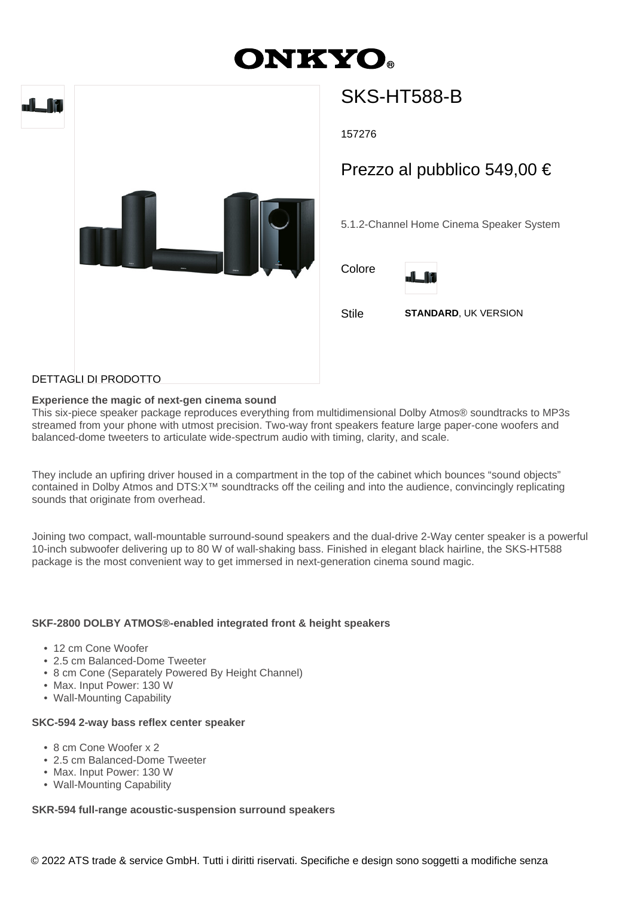# **DNKYO.**



## SKS-HT588-B

157276

### Prezzo al pubblico 549,00 €

5.1.2-Channel Home Cinema Speaker System





Stile **STANDARD**, UK VERSION

#### DETTAGLI DI PRODOTTO

#### **Experience the magic of next-gen cinema sound**

This six-piece speaker package reproduces everything from multidimensional Dolby Atmos® soundtracks to MP3s streamed from your phone with utmost precision. Two-way front speakers feature large paper-cone woofers and balanced-dome tweeters to articulate wide-spectrum audio with timing, clarity, and scale.

They include an upfiring driver housed in a compartment in the top of the cabinet which bounces "sound objects" contained in Dolby Atmos and DTS:X™ soundtracks off the ceiling and into the audience, convincingly replicating sounds that originate from overhead.

Joining two compact, wall-mountable surround-sound speakers and the dual-drive 2-Way center speaker is a powerful 10-inch subwoofer delivering up to 80 W of wall-shaking bass. Finished in elegant black hairline, the SKS-HT588 package is the most convenient way to get immersed in next-generation cinema sound magic.

#### **SKF-2800 DOLBY ATMOS®-enabled integrated front & height speakers**

- 12 cm Cone Woofer
- 2.5 cm Balanced-Dome Tweeter
- 8 cm Cone (Separately Powered By Height Channel)
- Max. Input Power: 130 W
- Wall-Mounting Capability

#### **SKC-594 2-way bass reflex center speaker**

- 8 cm Cone Woofer x 2
- 2.5 cm Balanced-Dome Tweeter
- Max. Input Power: 130 W
- Wall-Mounting Capability

#### **SKR-594 full-range acoustic-suspension surround speakers**